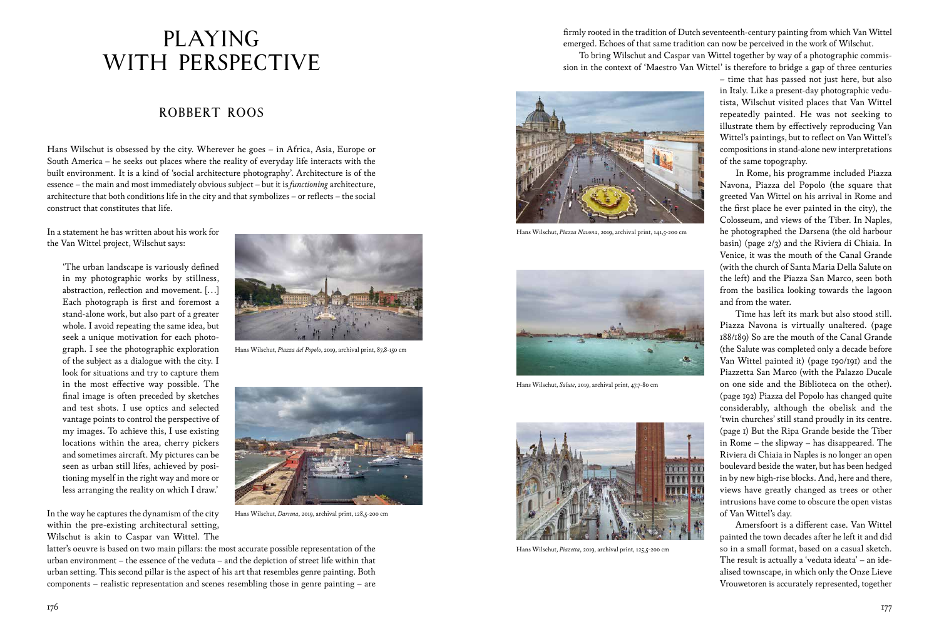## ROBBERT ROOS

firmly rooted in the tradition of Dutch seventeenth-century painting from which Van Wittel emerged. Echoes of that same tradition can now be perceived in the work of Wilschut.

To bring Wilschut and Caspar van Wittel together by way of a photographic commission in the context of 'Maestro Van Wittel' is therefore to bridge a gap of three centuries

– time that has passed not just here, but also in Italy. Like a present-day photographic vedutista, Wilschut visited places that Van Wittel repeatedly painted. He was not seeking to illustrate them by effectively reproducing Van Wittel's paintings, but to reflect on Van Wittel's compositions in stand-alone new interpretations of the same topography.

In Rome, his programme included Piazza Navona, Piazza del Popolo (the square that greeted Van Wittel on his arrival in Rome and the first place he ever painted in the city), the Colosseum, and views of the Tiber. In Naples, he photographed the Darsena (the old harbour basin) (page 2/3) and the Riviera di Chiaia. In Venice, it was the mouth of the Canal Grande (with the church of Santa Maria Della Salute on the left) and the Piazza San Marco, seen both from the basilica looking towards the lagoon and from the water.

Time has left its mark but also stood still. Piazza Navona is virtually unaltered. (page 188/189) So are the mouth of the Canal Grande (the Salute was completed only a decade before Van Wittel painted it) (page 190/191) and the Piazzetta San Marco (with the Palazzo Ducale on one side and the Biblioteca on the other). (page 192) Piazza del Popolo has changed quite considerably, although the obelisk and the 'twin churches' still stand proudly in its centre. (page 1) But the Ripa Grande beside the Tiber in Rome – the slipway – has disappeared. The Riviera di Chiaia in Naples is no longer an open boulevard beside the water, but has been hedged in by new high-rise blocks. And, here and there, views have greatly changed as trees or other intrusions have come to obscure the open vistas of Van Wittel's day.

Amersfoort is a different case. Van Wittel painted the town decades after he left it and did so in a small format, based on a casual sketch. The result is actually a 'veduta ideata' – an idealised townscape, in which only the Onze Lieve Vrouwetoren is accurately represented, together

Hans Wilschut is obsessed by the city. Wherever he goes – in Africa, Asia, Europe or South America – he seeks out places where the reality of everyday life interacts with the built environment. It is a kind of 'social architecture photography'. Architecture is of the essence – the main and most immediately obvious subject – but it is *functioning* architecture, architecture that both conditions life in the city and that symbolizes – or reflects – the social construct that constitutes that life.

In a statement he has written about his work for the Van Wittel project, Wilschut says:

 'The urban landscape is variously defined in my photographic works by stillness, abstraction, reflection and movement. […] Each photograph is first and foremost a stand-alone work, but also part of a greater whole. I avoid repeating the same idea, but seek a unique motivation for each photograph. I see the photographic exploration of the subject as a dialogue with the city. I look for situations and try to capture them in the most effective way possible. The final image is often preceded by sketches and test shots. I use optics and selected vantage points to control the perspective of my images. To achieve this, I use existing locations within the area, cherry pickers and sometimes aircraft. My pictures can be seen as urban still lifes, achieved by positioning myself in the right way and more or less arranging the reality on which I draw.'

In the way he captures the dynamism of the city within the pre-existing architectural setting, Wilschut is akin to Caspar van Wittel. The

latter's oeuvre is based on two main pillars: the most accurate possible representation of the urban environment – the essence of the veduta – and the depiction of street life within that urban setting. This second pillar is the aspect of his art that resembles genre painting. Both components – realistic representation and scenes resembling those in genre painting – are

## PLAYING WITH PERSPECTIVE



Hans Wilschut, *Piazza Navona*, 2019, archival print, 141,5-200 cm



Hans Wilschut, *Piazza del Popolo*, 2019, archival print, 87,8-150 cm



Hans Wilschut, *Darsena*, 2019, archival print, 128,5-200 cm



Hans Wilschut, *Salute*, 2019, archival print, 47,7-80 cm



Hans Wilschut, *Piazetta*, 2019, archival print, 125,5-200 cm